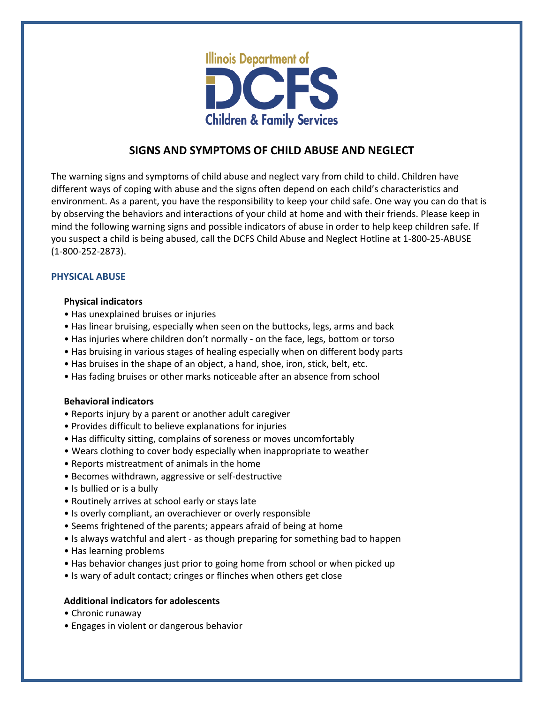

## **SIGNS AND SYMPTOMS OF CHILD ABUSE AND NEGLECT**

The warning signs and symptoms of child abuse and neglect vary from child to child. Children have different ways of coping with abuse and the signs often depend on each child's characteristics and environment. As a parent, you have the responsibility to keep your child safe. One way you can do that is by observing the behaviors and interactions of your child at home and with their friends. Please keep in mind the following warning signs and possible indicators of abuse in order to help keep children safe. If you suspect a child is being abused, call the DCFS Child Abuse and Neglect Hotline at 1-800-25-ABUSE (1-800-252-2873).

## **PHYSICAL ABUSE**

#### **Physical indicators**

- Has unexplained bruises or injuries
- Has linear bruising, especially when seen on the buttocks, legs, arms and back
- Has injuries where children don't normally on the face, legs, bottom or torso
- Has bruising in various stages of healing especially when on different body parts
- Has bruises in the shape of an object, a hand, shoe, iron, stick, belt, etc.
- Has fading bruises or other marks noticeable after an absence from school

## **Behavioral indicators**

- Reports injury by a parent or another adult caregiver
- Provides difficult to believe explanations for injuries
- Has difficulty sitting, complains of soreness or moves uncomfortably
- Wears clothing to cover body especially when inappropriate to weather
- Reports mistreatment of animals in the home
- Becomes withdrawn, aggressive or self-destructive
- Is bullied or is a bully
- Routinely arrives at school early or stays late
- Is overly compliant, an overachiever or overly responsible
- Seems frightened of the parents; appears afraid of being at home
- Is always watchful and alert as though preparing for something bad to happen
- Has learning problems
- Has behavior changes just prior to going home from school or when picked up
- Is wary of adult contact; cringes or flinches when others get close

## **Additional indicators for adolescents**

- Chronic runaway
- Engages in violent or dangerous behavior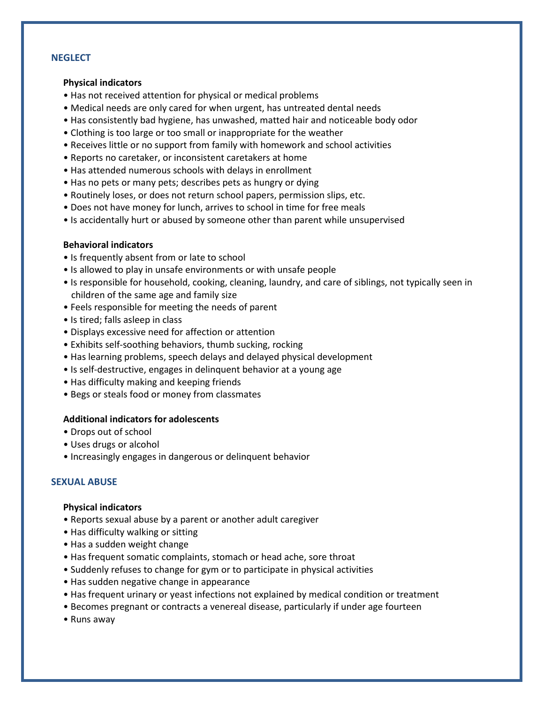## **NEGLECT**

#### **Physical indicators**

- Has not received attention for physical or medical problems
- Medical needs are only cared for when urgent, has untreated dental needs
- Has consistently bad hygiene, has unwashed, matted hair and noticeable body odor
- Clothing is too large or too small or inappropriate for the weather
- Receives little or no support from family with homework and school activities
- Reports no caretaker, or inconsistent caretakers at home
- Has attended numerous schools with delays in enrollment
- Has no pets or many pets; describes pets as hungry or dying
- Routinely loses, or does not return school papers, permission slips, etc.
- Does not have money for lunch, arrives to school in time for free meals
- Is accidentally hurt or abused by someone other than parent while unsupervised

#### **Behavioral indicators**

- Is frequently absent from or late to school
- Is allowed to play in unsafe environments or with unsafe people
- Is responsible for household, cooking, cleaning, laundry, and care of siblings, not typically seen in children of the same age and family size
- Feels responsible for meeting the needs of parent
- Is tired; falls asleep in class
- Displays excessive need for affection or attention
- Exhibits self-soothing behaviors, thumb sucking, rocking
- Has learning problems, speech delays and delayed physical development
- Is self-destructive, engages in delinquent behavior at a young age
- Has difficulty making and keeping friends
- Begs or steals food or money from classmates

#### **Additional indicators for adolescents**

- Drops out of school
- Uses drugs or alcohol
- Increasingly engages in dangerous or delinquent behavior

#### **SEXUAL ABUSE**

#### **Physical indicators**

- Reports sexual abuse by a parent or another adult caregiver
- Has difficulty walking or sitting
- Has a sudden weight change
- Has frequent somatic complaints, stomach or head ache, sore throat
- Suddenly refuses to change for gym or to participate in physical activities
- Has sudden negative change in appearance
- Has frequent urinary or yeast infections not explained by medical condition or treatment
- Becomes pregnant or contracts a venereal disease, particularly if under age fourteen
- Runs away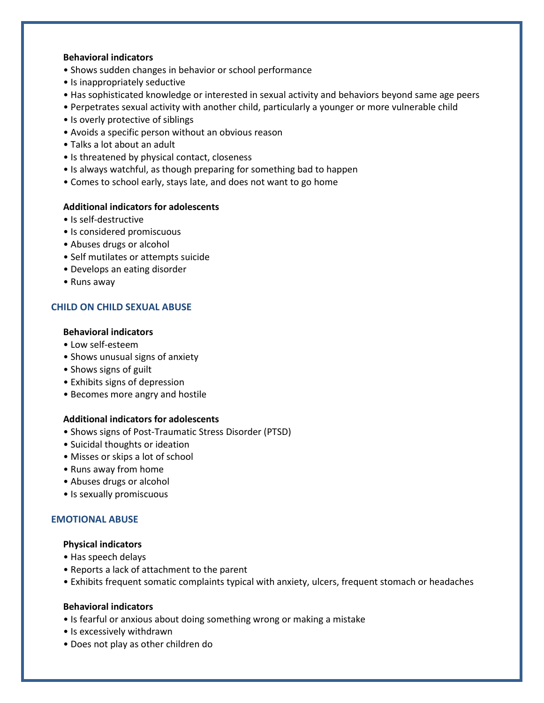#### **Behavioral indicators**

- Shows sudden changes in behavior or school performance
- Is inappropriately seductive
- Has sophisticated knowledge or interested in sexual activity and behaviors beyond same age peers
- Perpetrates sexual activity with another child, particularly a younger or more vulnerable child
- Is overly protective of siblings
- Avoids a specific person without an obvious reason
- Talks a lot about an adult
- Is threatened by physical contact, closeness
- Is always watchful, as though preparing for something bad to happen
- Comes to school early, stays late, and does not want to go home

### **Additional indicators for adolescents**

- Is self-destructive
- Is considered promiscuous
- Abuses drugs or alcohol
- Self mutilates or attempts suicide
- Develops an eating disorder
- Runs away

## **CHILD ON CHILD SEXUAL ABUSE**

#### **Behavioral indicators**

- Low self-esteem
- Shows unusual signs of anxiety
- Shows signs of guilt
- Exhibits signs of depression
- Becomes more angry and hostile

#### **Additional indicators for adolescents**

- Shows signs of Post-Traumatic Stress Disorder (PTSD)
- Suicidal thoughts or ideation
- Misses or skips a lot of school
- Runs away from home
- Abuses drugs or alcohol
- Is sexually promiscuous

## **EMOTIONAL ABUSE**

#### **Physical indicators**

- Has speech delays
- Reports a lack of attachment to the parent
- Exhibits frequent somatic complaints typical with anxiety, ulcers, frequent stomach or headaches

#### **Behavioral indicators**

- Is fearful or anxious about doing something wrong or making a mistake
- Is excessively withdrawn
- Does not play as other children do